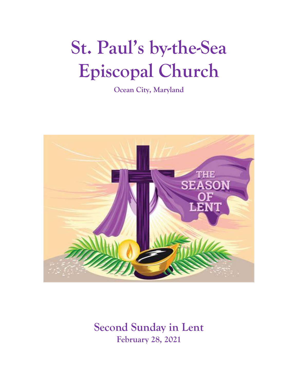# **St. Paul's by-the-Sea Episcopal Church**

**Ocean City, Maryland**



**Second Sunday in Lent February 28, 2021**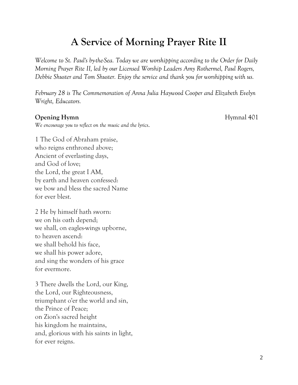## **A Service of Morning Prayer Rite II**

*Welcome to St. Paul's by-the-Sea. Today we are worshipping according to the Order for Daily Morning Prayer Rite II, led by our Licensed Worship Leaders Amy Rothermel, Paul Rogers, Debbie Shuster and Tom Shuster. Enjoy the service and thank you for worshipping with us.*

*February 28 is The Commemoration of Anna Julia Haywood Cooper and Elizabeth Evelyn Wright, Educators.*

#### **Opening Hymn** Hymnal 401

*We encourage you to reflect on the music and the lyrics*.

1 The God of Abraham praise, who reigns enthroned above; Ancient of everlasting days, and God of love; the Lord, the great I AM, by earth and heaven confessed: we bow and bless the sacred Name for ever blest.

2 He by himself hath sworn: we on his oath depend; we shall, on eagles-wings upborne, to heaven ascend: we shall behold his face, we shall his power adore, and sing the wonders of his grace for evermore.

3 There dwells the Lord, our King, the Lord, our Righteousness, triumphant o'er the world and sin, the Prince of Peace; on Zion's sacred height his kingdom he maintains, and, glorious with his saints in light, for ever reigns.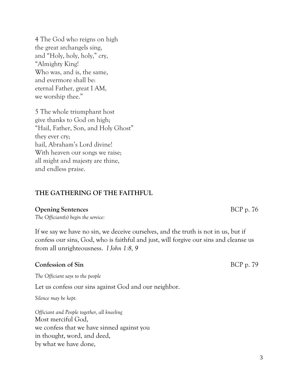4 The God who reigns on high the great archangels sing, and "Holy, holy, holy," cry, "Almighty King! Who was, and is, the same, and evermore shall be: eternal Father, great I AM, we worship thee."

5 The whole triumphant host give thanks to God on high; "Hail, Father, Son, and Holy Ghost" they ever cry; hail, Abraham's Lord divine! With heaven our songs we raise; all might and majesty are thine, and endless praise.

#### **THE GATHERING OF THE FAITHFUL**

#### **Opening Sentences** BCP p. 76

*The Officiant(s) begin the service:*

If we say we have no sin, we deceive ourselves, and the truth is not in us, but if confess our sins, God, who is faithful and just, will forgive our sins and cleanse us from all unrighteousness. *I John 1:8, 9*

#### **Confession of Sin** BCP p. 79

*The Officiant says to the people*

Let us confess our sins against God and our neighbor.

*Silence may be kept.*

*Officiant and People together, all kneeling* Most merciful God, we confess that we have sinned against you in thought, word, and deed, by what we have done,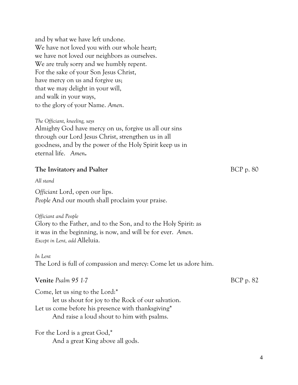and by what we have left undone. We have not loved you with our whole heart; we have not loved our neighbors as ourselves. We are truly sorry and we humbly repent. For the sake of your Son Jesus Christ, have mercy on us and forgive us; that we may delight in your will, and walk in your ways, to the glory of your Name. *Amen*.

*The Officiant, kneeling, says*

Almighty God have mercy on us, forgive us all our sins through our Lord Jesus Christ, strengthen us in all goodness, and by the power of the Holy Spirit keep us in eternal life. *Amen***.**

#### **The Invitatory and Psalter** BCP p. 80

*All stand*

*Officiant* Lord, open our lips. *People* And our mouth shall proclaim your praise.

*Officiant and People* Glory to the Father, and to the Son, and to the Holy Spirit: as it was in the beginning, is now, and will be for ever. *Amen*. *Except in Lent, add* Alleluia.

*In Lent* The Lord is full of compassion and mercy: Come let us adore him.

#### **Venite** *Psalm* 95 1-7 BCP p. 82

Come, let us sing to the Lord:\* let us shout for joy to the Rock of our salvation.

Let us come before his presence with thanksgiving\*

And raise a loud shout to him with psalms.

For the Lord is a great God,\* And a great King above all gods.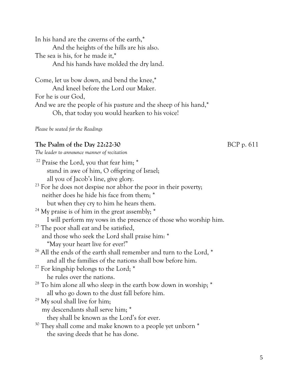In his hand are the caverns of the earth,\* And the heights of the hills are his also. The sea is his, for he made it,\* And his hands have molded the dry land.

Come, let us bow down, and bend the knee,\* And kneel before the Lord our Maker. For he is our God, And we are the people of his pasture and the sheep of his hand,\* Oh, that today you would hearken to his voice!

*Please be seated for the Readings*

#### **The Psalm of the Day 22:22-30** BCP p. 611

*The leader to announce manner of recitation*

| <sup>22</sup> Praise the Lord, you that fear him; *                            |
|--------------------------------------------------------------------------------|
| stand in awe of him, O offspring of Israel;                                    |
| all you of Jacob's line, give glory.                                           |
| <sup>23</sup> For he does not despise nor abhor the poor in their poverty;     |
| neither does he hide his face from them; *                                     |
| but when they cry to him he hears them.                                        |
| <sup>24</sup> My praise is of him in the great assembly; *                     |
| I will perform my vows in the presence of those who worship him.               |
| <sup>25</sup> The poor shall eat and be satisfied,                             |
| and those who seek the Lord shall praise him: *                                |
| "May your heart live for ever!"                                                |
| <sup>26</sup> All the ends of the earth shall remember and turn to the Lord, * |
| and all the families of the nations shall bow before him.                      |
| <sup>27</sup> For kingship belongs to the Lord; *                              |
| he rules over the nations.                                                     |
| <sup>28</sup> To him alone all who sleep in the earth bow down in worship; *   |
| all who go down to the dust fall before him.                                   |
| $29$ My soul shall live for him;                                               |
| my descendants shall serve him; *                                              |
| they shall be known as the Lord's for ever.                                    |
| <sup>30</sup> They shall come and make known to a people yet unborn *          |
| the saving deeds that he has done.                                             |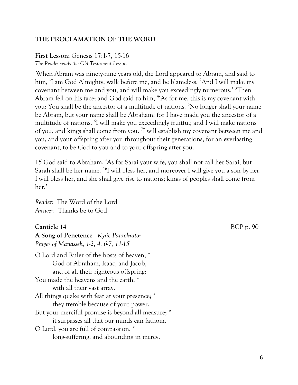#### **THE PROCLAMATION OF THE WORD**

### **First Lesson:** Genesis 17:1-7, 15-16

*The Reader reads the Old Testament Lesson* 

When Abram was ninety-nine years old, the Lord appeared to Abram, and said to him, 'I am God Almighty; walk before me, and be blameless. <sup>2</sup>And I will make my covenant between me and you, and will make you exceedingly numerous.' <sup>3</sup>Then Abram fell on his face; and God said to him, <sup>4</sup>'As for me, this is my covenant with you: You shall be the ancestor of a multitude of nations. <sup>5</sup>No longer shall your name be Abram, but your name shall be Abraham; for I have made you the ancestor of a multitude of nations. <sup>6</sup> I will make you exceedingly fruitful; and I will make nations of you, and kings shall come from you. <sup>7</sup>I will establish my covenant between me and you, and your offspring after you throughout their generations, for an everlasting covenant, to be God to you and to your offspring after you.

15 God said to Abraham, 'As for Sarai your wife, you shall not call her Sarai, but Sarah shall be her name. <sup>16</sup>I will bless her, and moreover I will give you a son by her. I will bless her, and she shall give rise to nations; kings of peoples shall come from her.'

*Reader:* The Word of the Lord *Answer:* Thanks be to God

#### **Canticle 14** BCP p. 90

**A Song of Penetence** *Kyrie Pantokrator Prayer of Manasseh, 1-2, 4, 6-7, 11-15* O Lord and Ruler of the hosts of heaven, \* God of Abraham, Isaac, and Jacob, and of all their righteous offspring: You made the heavens and the earth, \* with all their vast array. All things quake with fear at your presence; \* they tremble because of your power. But your merciful promise is beyond all measure; \* it surpasses all that our minds can fathom. O Lord, you are full of compassion, \*

long-suffering, and abounding in mercy.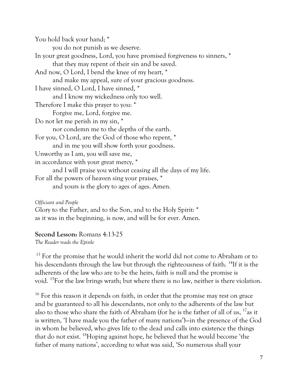You hold back your hand; \* you do not punish as we deserve. In your great goodness, Lord, you have promised forgiveness to sinners, \* that they may repent of their sin and be saved. And now, O Lord, I bend the knee of my heart, \* and make my appeal, sure of your gracious goodness. I have sinned, O Lord, I have sinned, \* and I know my wickedness only too well. Therefore I make this prayer to you: \* Forgive me, Lord, forgive me. Do not let me perish in my sin, \* nor condemn me to the depths of the earth. For you, O Lord, are the God of those who repent, \* and in me you will show forth your goodness. Unworthy as I am, you will save me, in accordance with your great mercy, \* and I will praise you without ceasing all the days of my life. For all the powers of heaven sing your praises, \* and yours is the glory to ages of ages. Amen.

*Officiant and People*

Glory to the Father, and to the Son, and to the Holy Spirit: \* as it was in the beginning, is now, and will be for ever. Amen.

**Second Lesson:** Romans 4:13-25

*The Reader reads the Epistle*

<sup>13</sup> For the promise that he would inherit the world did not come to Abraham or to his descendants through the law but through the righteousness of faith. <sup>14</sup>If it is the adherents of the law who are to be the heirs, faith is null and the promise is void. <sup>15</sup>For the law brings wrath; but where there is no law, neither is there violation.

<sup>16</sup> For this reason it depends on faith, in order that the promise may rest on grace and be guaranteed to all his descendants, not only to the adherents of the law but also to those who share the faith of Abraham (for he is the father of all of us,  $^{17}$ as it is written, 'I have made you the father of many nations')—in the presence of the God in whom he believed, who gives life to the dead and calls into existence the things that do not exist. <sup>18</sup>Hoping against hope, he believed that he would become 'the father of many nations', according to what was said, 'So numerous shall your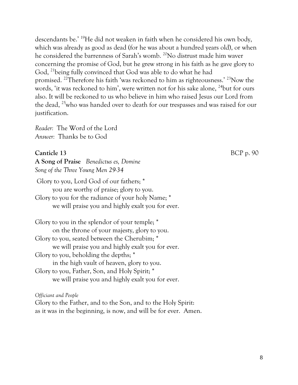descendants be.' <sup>19</sup>He did not weaken in faith when he considered his own body, which was already as good as dead (for he was about a hundred years old), or when he considered the barrenness of Sarah's womb. <sup>20</sup>No distrust made him waver concerning the promise of God, but he grew strong in his faith as he gave glory to God, <sup>21</sup>being fully convinced that God was able to do what he had promised. <sup>22</sup>Therefore his faith 'was reckoned to him as righteousness.' <sup>23</sup>Now the words, 'it was reckoned to him', were written not for his sake alone, <sup>24</sup>but for ours also. It will be reckoned to us who believe in him who raised Jesus our Lord from the dead, <sup>25</sup>who was handed over to death for our trespasses and was raised for our justification.

*Reader:* The Word of the Lord *Answer:* Thanks be to God

#### **Canticle 13** BCP p. 90

**A Song of Praise** *Benedictus es, Domine Song of the Three Young Men 29-34*

Glory to you, Lord God of our fathers; \* you are worthy of praise; glory to you. Glory to you for the radiance of your holy Name; \* we will praise you and highly exalt you for ever.

| Glory to you in the splendor of your temple; *    |
|---------------------------------------------------|
| on the throne of your majesty, glory to you.      |
| Glory to you, seated between the Cherubim; *      |
| we will praise you and highly exalt you for ever. |
| Glory to you, beholding the depths; *             |
| in the high vault of heaven, glory to you.        |
| Glory to you, Father, Son, and Holy Spirit; *     |
| we will praise you and highly exalt you for ever. |

#### *Officiant and People*

Glory to the Father, and to the Son, and to the Holy Spirit: as it was in the beginning, is now, and will be for ever. Amen.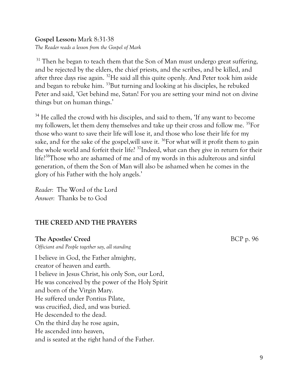#### **Gospel Lesson:** Mark 8:31-38 *The Reader reads a lesson from the Gospel of Mark*

 $31$  Then he began to teach them that the Son of Man must undergo great suffering, and be rejected by the elders, the chief priests, and the scribes, and be killed, and after three days rise again. <sup>32</sup>He said all this quite openly. And Peter took him aside and began to rebuke him. <sup>33</sup>But turning and looking at his disciples, he rebuked Peter and said, 'Get behind me, Satan! For you are setting your mind not on divine things but on human things.'

<sup>34</sup> He called the crowd with his disciples, and said to them, 'If any want to become my followers, let them deny themselves and take up their cross and follow me. <sup>35</sup>For those who want to save their life will lose it, and those who lose their life for my sake, and for the sake of the gospel,will save it. <sup>36</sup>For what will it profit them to gain the whole world and forfeit their life? <sup>37</sup>Indeed, what can they give in return for their life?<sup>38</sup>Those who are ashamed of me and of my words in this adulterous and sinful generation, of them the Son of Man will also be ashamed when he comes in the glory of his Father with the holy angels.'

*Reader:* The Word of the Lord *Answer:* Thanks be to God

#### **THE CREED AND THE PRAYERS**

#### **The Apostles' Creed** BCP p. 96

*Officiant and People together say, all standing* 

I believe in God, the Father almighty, creator of heaven and earth. I believe in Jesus Christ, his only Son, our Lord, He was conceived by the power of the Holy Spirit and born of the Virgin Mary. He suffered under Pontius Pilate, was crucified, died, and was buried. He descended to the dead. On the third day he rose again, He ascended into heaven, and is seated at the right hand of the Father.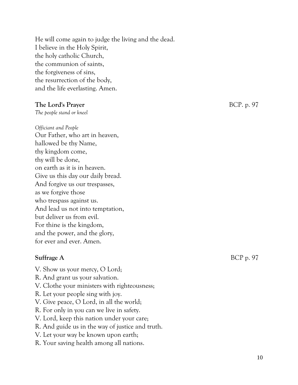He will come again to judge the living and the dead. I believe in the Holy Spirit, the holy catholic Church, the communion of saints, the forgiveness of sins, the resurrection of the body, and the life everlasting. Amen.

#### **The Lord's Prayer** BCP. p. 97

*The people stand or kneel*

#### *Officiant and People*

Our Father, who art in heaven, hallowed be thy Name, thy kingdom come, thy will be done, on earth as it is in heaven. Give us this day our daily bread. And forgive us our trespasses, as we forgive those who trespass against us. And lead us not into temptation, but deliver us from evil. For thine is the kingdom, and the power, and the glory, for ever and ever. Amen.

#### **Suffrage A** BCP p. 97

- V. Show us your mercy, O Lord;
- R. And grant us your salvation.
- V. Clothe your ministers with righteousness;
- R. Let your people sing with joy.
- V. Give peace, O Lord, in all the world;
- R. For only in you can we live in safety.
- V. Lord, keep this nation under your care;
- R. And guide us in the way of justice and truth.
- V. Let your way be known upon earth;
- R. Your saving health among all nations.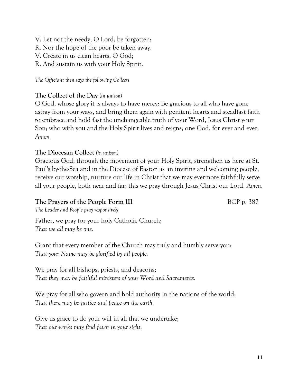V. Let not the needy, O Lord, be forgotten;

R. Nor the hope of the poor be taken away.

V. Create in us clean hearts, O God;

R. And sustain us with your Holy Spirit.

*The Officiant then says the following Collects*

#### **The Collect of the Day** (*in unison)*

O God, whose glory it is always to have mercy: Be gracious to all who have gone astray from your ways, and bring them again with penitent hearts and steadfast faith to embrace and hold fast the unchangeable truth of your Word, Jesus Christ your Son; who with you and the Holy Spirit lives and reigns, one God, for ever and ever. *Amen.*

#### **The Diocesan Collect** *(in unison)*

Gracious God, through the movement of your Holy Spirit, strengthen us here at St. Paul's by-the-Sea and in the Diocese of Easton as an inviting and welcoming people; receive our worship, nurture our life in Christ that we may evermore faithfully serve all your people, both near and far; this we pray through Jesus Christ our Lord. *Amen.*

#### **The Prayers of the People Form III** BCP p. 387

*The Leader and People pray responsively*

Father, we pray for your holy Catholic Church; *That we all may be one.*

Grant that every member of the Church may truly and humbly serve you; *That your Name may be glorified by all people.*

We pray for all bishops, priests, and deacons; *That they may be faithful ministers of your Word and Sacraments.*

We pray for all who govern and hold authority in the nations of the world; *That there may be justice and peace on the earth.*

Give us grace to do your will in all that we undertake; *That our works may find favor in your sight.*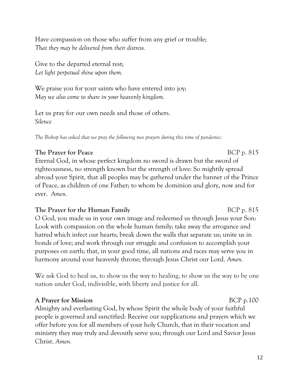Have compassion on those who suffer from any grief or trouble; *That they may be delivered from their distress.*

Give to the departed eternal rest; *Let light perpetual shine upon them.*

We praise you for your saints who have entered into joy; *May we also come to share in your heavenly kingdom.*

Let us pray for our own needs and those of others. *Silence*

*The Bishop has asked that we pray the following two prayers during this time of pandemic:*

#### **The Prayer for Peace** BCP p. 815

Eternal God, in whose perfect kingdom no sword is drawn but the sword of righteousness, no strength known but the strength of love: So mightily spread abroad your Spirit, that all peoples may be gathered under the banner of the Prince of Peace, as children of one Father; to whom be dominion and glory, now and for ever. *Amen.*

#### **The Prayer for the Human Family** BCP p. 815

O God, you made us in your own image and redeemed us through Jesus your Son: Look with compassion on the whole human family; take away the arrogance and hatred which infect our hearts; break down the walls that separate us; unite us in bonds of love; and work through our struggle and confusion to accomplish your purposes on earth; that, in your good time, all nations and races may serve you in harmony around your heavenly throne; through Jesus Christ our Lord. *Amen.*

We ask God to heal us, to show us the way to healing, to show us the way to be one nation under God, indivisible, with liberty and justice for all.

#### **A Prayer for Mission** BCP p.100

Almighty and everlasting God, by whose Spirit the whole body of your faithful people is governed and sanctified: Receive our supplications and prayers which we offer before you for all members of your holy Church, that in their vocation and ministry they may truly and devoutly serve you; through our Lord and Savior Jesus Christ. *Amen.*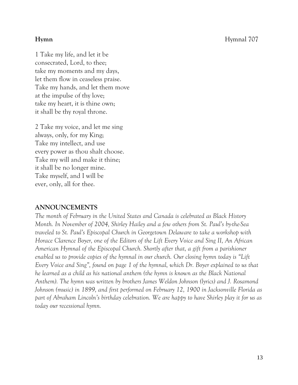**Hymn** Hymnal 707

1 Take my life, and let it be consecrated, Lord, to thee; take my moments and my days, let them flow in ceaseless praise. Take my hands, and let them move at the impulse of thy love; take my heart, it is thine own; it shall be thy royal throne.

2 Take my voice, and let me sing always, only, for my King; Take my intellect, and use every power as thou shalt choose. Take my will and make it thine; it shall be no longer mine. Take myself, and I will be ever, only, all for thee.

#### **ANNOUNCEMENTS**

*The month of February in the United States and Canada is celebrated as Black History Month. In November of 2004, Shirley Hailey and a few others from St. Paul's by-the-Sea traveled to St. Paul's Episcopal Church in Georgetown Delaware to take a workshop with Horace Clarence Boyer, one of the Editors of the Lift Every Voice and Sing II, An African American Hymnal of the Episcopal Church. Shortly after that, a gift from a parishioner enabled us to provide copies of the hymnal in our church. Our closing hymn today is "Lift Every Voice and Sing", found on page 1 of the hymnal, which Dr. Boyer explained to us that he learned as a child as his national anthem (the hymn is known as the Black National Anthem). The hymn was written by brothers James Weldon Johnson (lyrics) and J. Rosamond Johnson (music) in 1899, and first performed on February 12, 1900 in Jacksonville Florida as part of Abraham Lincoln's birthday celebration. We are happy to have Shirley play it for us as today our recessional hymn.*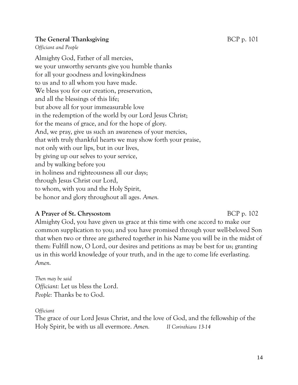#### **The General Thanksgiving** BCP p. 101

*Officiant and People*

Almighty God, Father of all mercies, we your unworthy servants give you humble thanks for all your goodness and loving-kindness to us and to all whom you have made. We bless you for our creation, preservation, and all the blessings of this life; but above all for your immeasurable love in the redemption of the world by our Lord Jesus Christ; for the means of grace, and for the hope of glory. And, we pray, give us such an awareness of your mercies, that with truly thankful hearts we may show forth your praise, not only with our lips, but in our lives, by giving up our selves to your service, and by walking before you in holiness and righteousness all our days; through Jesus Christ our Lord, to whom, with you and the Holy Spirit, be honor and glory throughout all ages. *Amen.*

#### **A Prayer of St. Chrysostom** BCP p. 102

Almighty God, you have given us grace at this time with one accord to make our common supplication to you; and you have promised through your well-beloved Son that when two or three are gathered together in his Name you will be in the midst of them: Fulfill now, O Lord, our desires and petitions as may be best for us; granting us in this world knowledge of your truth, and in the age to come life everlasting. *Amen.*

*Then may be said Officiant:* Let us bless the Lord. *People:* Thanks be to God.

*Officiant*

The grace of our Lord Jesus Christ, and the love of God, and the fellowship of the Holy Spirit, be with us all evermore. *Amen. II Corinthians 13-14*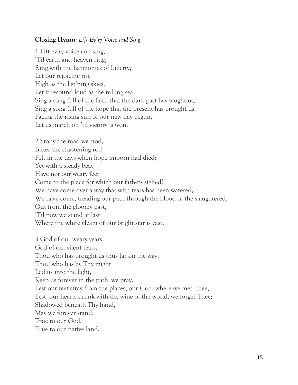#### **Closing Hymn**: *Lift Ev'ry Voice and Sing*

1 Lift ev'ry voice and sing, 'Til earth and heaven ring, Ring with the harmonies of Liberty; Let our rejoicing rise High as the list'ning skies, Let it resound loud as the rolling sea. Sing a song full of the faith that the dark past has taught us, Sing a song full of the hope that the present has brought us; Facing the rising sun of our new day begun, Let us march on 'til victory is won.

2 Stony the road we trod, Bitter the chastening rod, Felt in the days when hope unborn had died; Yet with a steady beat, Have not our weary feet Come to the place for which our fathers sighed? We have come over a way that with tears has been watered, We have come, treading our path through the blood of the slaughtered, Out from the gloomy past, 'Til now we stand at last Where the white gleam of our bright star is cast. 3 God of our weary years, God of our silent tears, Thou who has brought us thus far on the way; Thou who has by Thy might Led us into the light, Keep us forever in the path, we pray. Lest our feet stray from the places, our God, where we met Thee, Lest, our hearts drunk with the wine of the world, we forget Thee; Shadowed beneath Thy hand, May we forever stand, True to our God, True to our native land.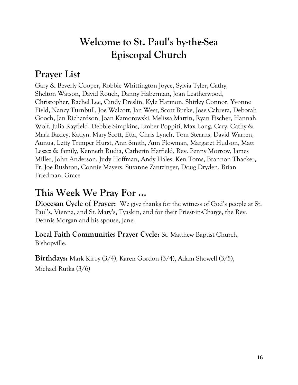## **Welcome to St. Paul's by-the-Sea Episcopal Church**

## **Prayer List**

Gary & Beverly Cooper, Robbie Whittington Joyce, Sylvia Tyler, Cathy, Shelton Watson, David Rouch, Danny Haberman, Joan Leatherwood, Christopher, Rachel Lee, Cindy Dreslin, Kyle Harmon, Shirley Connor, Yvonne Field, Nancy Turnbull, Joe Walcott, Jan West, Scott Burke, Jose Cabrera, Deborah Gooch, Jan Richardson, Joan Kamorowski, Melissa Martin, Ryan Fischer, Hannah Wolf, Julia Rayfield, Debbie Simpkins, Ember Poppiti, Max Long, Cary, Cathy & Mark Baxley, Katlyn, Mary Scott, Etta, Chris Lynch, Tom Stearns, David Warren, Aunua, Letty Trimper Hurst, Ann Smith, Ann Plowman, Margaret Hudson, Matt Leszcz & family, Kenneth Rudia, Catherin Hatfield, Rev. Penny Morrow, James Miller, John Anderson, Judy Hoffman, Andy Hales, Ken Toms, Brannon Thacker, Fr. Joe Rushton, Connie Mayers, Suzanne Zantzinger, Doug Dryden, Brian Friedman, Grace

## **This Week We Pray For ...**

**Diocesan Cycle of Prayer:** We give thanks for the witness of God's people at St. Paul's, Vienna, and St. Mary's, Tyaskin, and for their Priest-in-Charge, the Rev. Dennis Morgan and his spouse, Jane.

**Local Faith Communities Prayer Cycle:** St. Matthew Baptist Church, Bishopville.

**Birthdays:** Mark Kirby (3/4), Karen Gordon (3/4), Adam Showell (3/5),

Michael Rutka (3/6)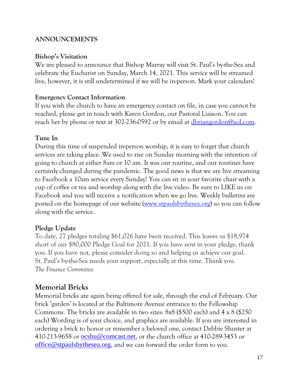#### **ANNOUNCEMENTS**

#### **Bishop's Visitation**

We are pleased to announce that Bishop Marray will visit St. Paul's by-the-Sea and celebrate the Eucharist on Sunday, March 14, 2021. This service will be streamed live, however, it is still undetermined if we will be in-person. Mark your calendars!

#### **Emergency Contact Information**

If you wish the church to have an emergency contact on file, in case you cannot be reached, please get in touch with Karen Gordon, our Pastoral Liaison. You can reach her by phone or text at 302-236-0592 or by email at [dbriangordon@aol.com.](mailto:dbriangordon@aol.com)

#### **Tune In**

During this time of suspended in-person worship, it is easy to forget that church services are taking place. We used to rise on Sunday morning with the intention of going to church at either 8am or 10 am. It was our routine, and our routines have certainly changed during the pandemic. The good news is that we are live streaming to Facebook a 10am service every Sunday! You can sit in your favorite chair with a cup of coffee or tea and worship along with the live video. Be sure to LIKE us on Facebook and you will receive a notification when we go live. Weekly bulletins are posted on the homepage of our website [\(www.stpaulsbythesea.org\)](http://www.stpaulsbythesea.org/) so you can follow along with the service.

#### **Pledge Update**

To date, 27 pledges totaling \$61,026 have been received. This leaves us \$18,974 short of our \$80,000 Pledge Goal for 2021. If you have sent in your pledge, thank you. If you have not, please consider doing so and helping us achieve our goal. St. Paul's by-the-Sea needs your support, especially at this time. Thank you. *The Finance Committee*

### **Memorial Bricks**

Memorial bricks are again being offered for sale, through the end of February. Our brick 'garden' is located at the Baltimore Avenue entrance to the Fellowship Commons. The bricks are available in two sizes: 8x8 (\$500 each) and 4 x 8 (\$250 each) Wording is of your choice, and graphics are available. If you are interested in ordering a brick to honor or remember a beloved one, contact Debbie Shuster at 410-213-9658 or [ocshu@comcast.net](mailto:ocshu@comcast.net), or the church office at 410-289-3453 or [office@stpaulsbythesea.org](mailto:office@stpaulsbythesea.net), and we can forward the order form to you.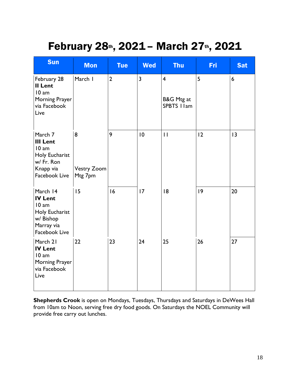## February 28th, 2021 - March 27th, 2021

| <b>Sun</b>                                                                                               | <b>Mon</b>                         | <b>Tue</b>     | <b>Wed</b> | <b>Thu</b>                                           | <b>Fri</b> | <b>Sat</b> |
|----------------------------------------------------------------------------------------------------------|------------------------------------|----------------|------------|------------------------------------------------------|------------|------------|
| February 28<br>II Lent<br>10 am<br>Morning Prayer<br>via Facebook<br>Live                                | March I                            | $\overline{2}$ | 3          | $\overline{\mathbf{4}}$<br>B&G Mtg at<br>SPBTS I Iam | 5          | 6          |
| March 7<br><b>III Lent</b><br>10 am<br><b>Holy Eucharist</b><br>w/ Fr. Ron<br>Knapp via<br>Facebook Live | 8<br><b>Vestry Zoom</b><br>Mtg 7pm | 9              | 10         | $\mathbf{H}$                                         | 12         | 13         |
| March 14<br><b>IV Lent</b><br>10 am<br>Holy Eucharist<br>w/ Bishop<br>Marray via<br>Facebook Live        | 15                                 | 16             | 17         | 8                                                    | 9          | 20         |
| March 21<br><b>IV Lent</b><br>10 am<br>Morning Prayer<br>via Facebook<br>Live                            | 22                                 | 23             | 24         | 25                                                   | 26         | 27         |

**Shepherds Crook** is open on Mondays, Tuesdays, Thursdays and Saturdays in DeWees Hall from 10am to Noon, serving free dry food goods. On Saturdays the NOEL Community will provide free carry out lunches.